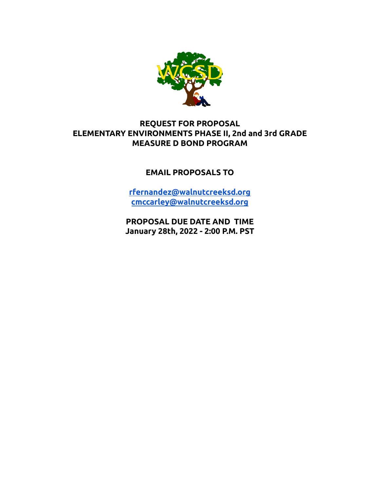

# **REQUEST FOR PROPOSAL ELEMENTARY ENVIRONMENTS PHASE II, 2nd and 3rd GRADE MEASURE D BOND PROGRAM**

### **EMAIL PROPOSALS TO**

**[rfernandez@walnutcreeksd.org](mailto:rfernandez@walnutcreeksd.org) [cmccarley@walnutcreeksd.org](mailto:cmccarley@walnutcreeksd.org)**

**PROPOSAL DUE DATE AND TIME January 28th, 2022 - 2:00 P.M. PST**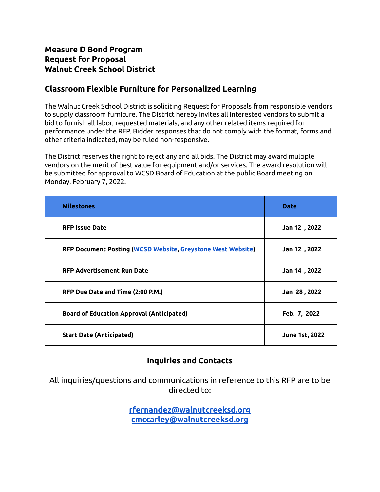# **Measure D Bond Program Request for Proposal Walnut Creek School District**

# **Classroom Flexible Furniture for Personalized Learning**

The Walnut Creek School District is soliciting Request for Proposals from responsible vendors to supply classroom furniture. The District hereby invites all interested vendors to submit a bid to furnish all labor, requested materials, and any other related items required for performance under the RFP. Bidder responses that do not comply with the format, forms and other criteria indicated, may be ruled non-responsive.

The District reserves the right to reject any and all bids. The District may award multiple vendors on the merit of best value for equipment and/or services. The award resolution will be submitted for approval to WCSD Board of Education at the public Board meeting on Monday, February 7, 2022.

| <b>Milestones</b>                                           | <b>Date</b>           |
|-------------------------------------------------------------|-----------------------|
| <b>RFP Issue Date</b>                                       | Jan 12, 2022          |
| RFP Document Posting (WCSD Website, Greystone West Website) | Jan 12, 2022          |
| <b>RFP Advertisement Run Date</b>                           | Jan 14, 2022          |
| RFP Due Date and Time (2:00 P.M.)                           | Jan 28, 2022          |
| <b>Board of Education Approval (Anticipated)</b>            | Feb. 7, 2022          |
| <b>Start Date (Anticipated)</b>                             | <b>June 1st, 2022</b> |

# **Inquiries and Contacts**

All inquiries/questions and communications in reference to this RFP are to be directed to:

> **[rfernandez@walnutcreeksd.org](mailto:rfernandez@walnutcreeksd.org) [cmccarley@walnutcreeksd.org](mailto:cmccarley@walnutcreeksd.org)**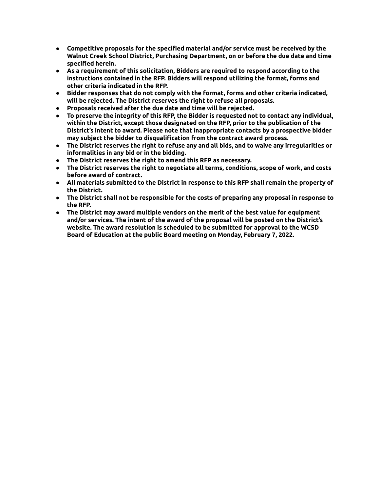- **● Competitive proposals for the specified material and/or service must be received by the Walnut Creek School District, Purchasing Department, on or before the due date and time specified herein.**
- **● As a requirement of this solicitation, Bidders are required to respond according to the instructions contained in the RFP. Bidders will respond utilizing the format, forms and other criteria indicated in the RFP.**
- **● Bidder responses that do not comply with the format, forms and other criteria indicated, will be rejected. The District reserves the right to refuse all proposals.**
- **● Proposals received after the due date and time will be rejected.**
- **● To preserve the integrity of this RFP, the Bidder is requested not to contact any individual, within the District, except those designated on the RFP, prior to the publication of the District's intent to award. Please note that inappropriate contacts by a prospective bidder may subject the bidder to disqualification from the contract award process.**
- **● The District reserves the right to refuse any and all bids, and to waive any irregularities or informalities in any bid or in the bidding.**
- **● The District reserves the right to amend this RFP as necessary.**
- **● The District reserves the right to negotiate all terms, conditions, scope of work, and costs before award of contract.**
- **● All materials submitted to the District in response to this RFP shall remain the property of the District.**
- **● The District shall not be responsible for the costs of preparing any proposal in response to the RFP.**
- **● The District may award multiple vendors on the merit of the best value for equipment and/or services. The intent of the award of the proposal will be posted on the District's website. The award resolution is scheduled to be submitted for approval to the WCSD Board of Education at the public Board meeting on Monday, February 7, 2022.**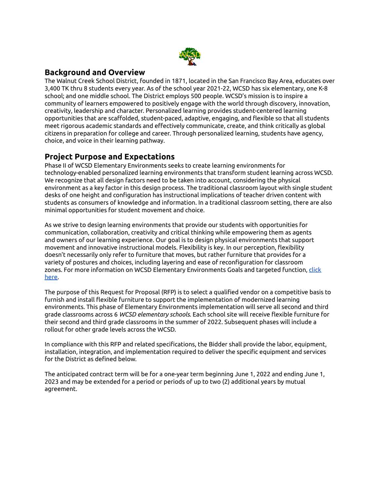

### **Background and Overview**

The Walnut Creek School District, founded in 1871, located in the San Francisco Bay Area, educates over 3,400 TK thru 8 students every year. As of the school year 2021-22, WCSD has six elementary, one K-8 school; and one middle school. The District employs 500 people. WCSD's mission is to inspire a community of learners empowered to positively engage with the world through discovery, innovation, creativity, leadership and character. Personalized learning provides student-centered learning opportunities that are scaffolded, student-paced, adaptive, engaging, and flexible so that all students meet rigorous academic standards and effectively communicate, create, and think critically as global citizens in preparation for college and career. Through personalized learning, students have agency, choice, and voice in their learning pathway.

### **Project Purpose and Expectations**

Phase II of WCSD Elementary Environments seeks to create learning environments for technology-enabled personalized learning environments that transform student learning across WCSD. We recognize that all design factors need to be taken into account, considering the physical environment as a key factor in this design process. The traditional classroom layout with single student desks of one height and configuration has instructional implications of teacher driven content with students as consumers of knowledge and information. In a traditional classroom setting, there are also minimal opportunities for student movement and choice.

As we strive to design learning environments that provide our students with opportunities for communication, collaboration, creativity and critical thinking while empowering them as agents and owners of our learning experience. Our goal is to design physical environments that support movement and innovative instructional models. Flexibility is key. In our perception, flexibility doesn't necessarily only refer to furniture that moves, but rather furniture that provides for a variety of postures and choices, including layering and ease of reconfiguration for classroom zones. For more information on WCSD Elementary Environments Goals and targeted function, [click](https://drive.google.com/file/d/1jWlgtCFG88u6CZbKh_hmzhYFJF4pxeLn/view?usp=sharing) [here.](https://drive.google.com/file/d/1jWlgtCFG88u6CZbKh_hmzhYFJF4pxeLn/view?usp=sharing)

The purpose of this Request for Proposal (RFP) is to select a qualified vendor on a competitive basis to furnish and install flexible furniture to support the implementation of modernized learning environments. This phase of Elementary Environments implementation will serve all second and third grade classrooms across 6 *WCSD elementary schools*. Each school site will receive flexible furniture for their second and third grade classrooms in the summer of 2022. Subsequent phases will include a rollout for other grade levels across the WCSD.

In compliance with this RFP and related specifications, the Bidder shall provide the labor, equipment, installation, integration, and implementation required to deliver the specific equipment and services for the District as defined below.

The anticipated contract term will be for a one-year term beginning June 1, 2022 and ending June 1, 2023 and may be extended for a period or periods of up to two (2) additional years by mutual agreement.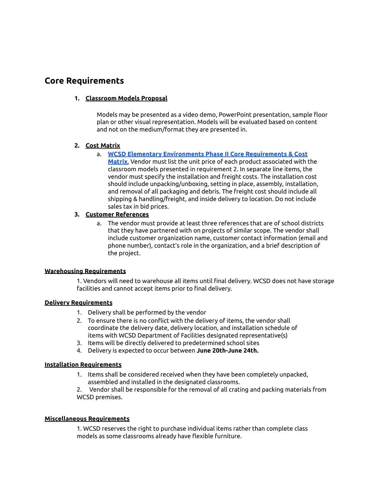# **Core Requirements**

#### **1. Classroom Models Proposal**

Models may be presented as a video demo, PowerPoint presentation, sample floor plan or other visual representation. Models will be evaluated based on content and not on the medium/format they are presented in.

#### **2. Cost Matrix**

- a. **WCSD Elementary Environments Phase II Core [Requirements](https://docs.google.com/spreadsheets/d/1GzZSQA8iZy6_yrwFohmjZlNSATWI0T_hJtRhUZnEk0g/copy#gid=2069885239) & Cost**
	- **[Matrix](https://docs.google.com/spreadsheets/d/1GzZSQA8iZy6_yrwFohmjZlNSATWI0T_hJtRhUZnEk0g/copy#gid=2069885239)**, Vendor must list the unit price of each product associated with the classroom models presented in requirement 2. In separate line items, the vendor must specify the installation and freight costs. The installation cost should include unpacking/unboxing, setting in place, assembly, installation, and removal of all packaging and debris. The freight cost should include all shipping & handling/freight, and inside delivery to location. Do not include sales tax in bid prices.

#### **3. Customer References**

a. The vendor must provide at least three references that are of school districts that they have partnered with on projects of similar scope. The vendor shall include customer organization name, customer contact information (email and phone number), contact's role in the organization, and a brief description of the project.

#### **Warehousing Requirements**

1. Vendors will need to warehouse all items until final delivery. WCSD does not have storage facilities and cannot accept items prior to final delivery.

#### **Delivery Requirements**

- 1. Delivery shall be performed by the vendor
- 2. To ensure there is no conflict with the delivery of items, the vendor shall coordinate the delivery date, delivery location, and installation schedule of items with WCSD Department of Facilities designated representative(s)
- 3. Items will be directly delivered to predetermined school sites
- 4. Delivery is expected to occur between **June 20th-June 24th.**

#### **Installation Requirements**

1. Items shall be considered received when they have been completely unpacked, assembled and installed in the designated classrooms.

2. Vendor shall be responsible for the removal of all crating and packing materials from WCSD premises.

#### **Miscellaneous Requirements**

1. WCSD reserves the right to purchase individual items rather than complete class models as some classrooms already have flexible furniture.